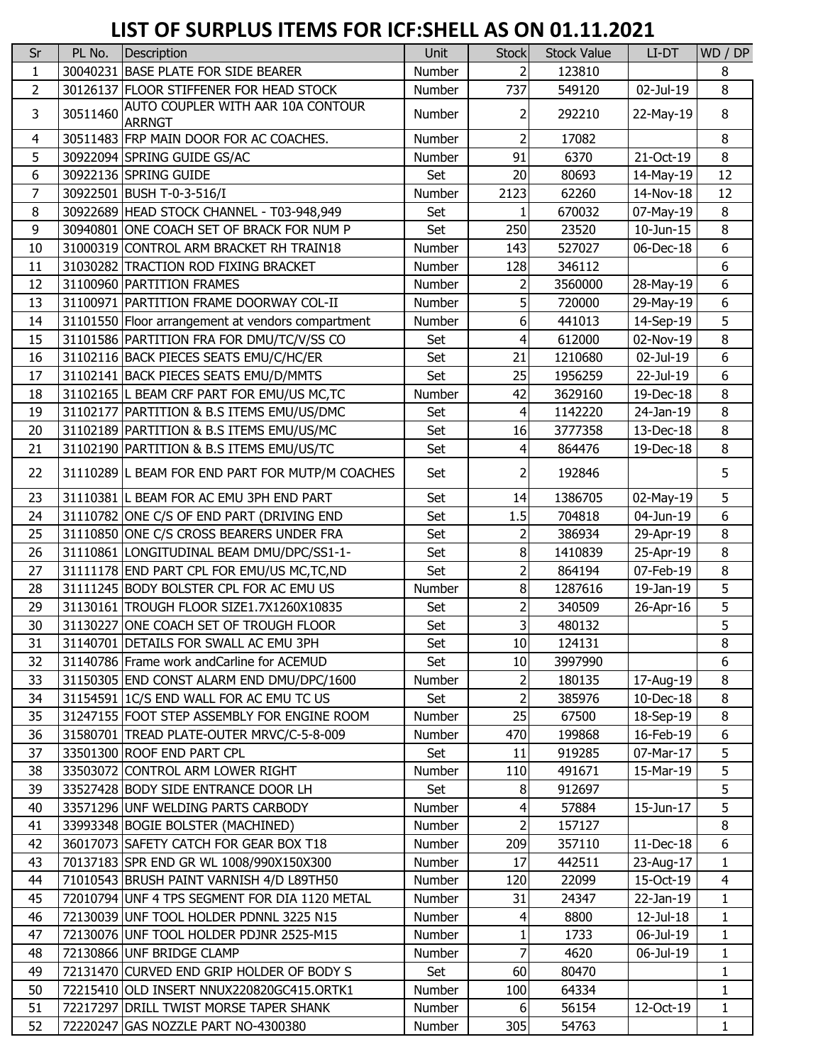## **LIST OF SURPLUS ITEMS FOR ICF:SHELL AS ON 01.11.2021**

| Sr             | PL No.   | Description                                               | Unit          | <b>Stock</b>            | <b>Stock Value</b> | LI-DT     | WD / DP        |
|----------------|----------|-----------------------------------------------------------|---------------|-------------------------|--------------------|-----------|----------------|
| $\mathbf{1}$   |          | 30040231 BASE PLATE FOR SIDE BEARER                       | Number        | $\overline{2}$          | 123810             |           | 8              |
| $\overline{2}$ |          | 30126137 FLOOR STIFFENER FOR HEAD STOCK                   | Number        | 737                     | 549120             | 02-Jul-19 | 8              |
| 3              | 30511460 | <b>AUTO COUPLER WITH AAR 10A CONTOUR</b><br><b>ARRNGT</b> | Number        | 2                       | 292210             | 22-May-19 | $\,8\,$        |
| 4              |          | 30511483 FRP MAIN DOOR FOR AC COACHES.                    | Number        | $\overline{2}$          | 17082              |           | 8              |
| 5              |          | 30922094 SPRING GUIDE GS/AC                               | Number        | 91                      | 6370               | 21-Oct-19 | $\, 8$         |
| 6              |          | 30922136 SPRING GUIDE                                     | Set           | 20                      | 80693              | 14-May-19 | 12             |
| 7              |          | 30922501 BUSH T-0-3-516/I                                 | Number        | 2123                    | 62260              | 14-Nov-18 | 12             |
| 8              |          | 30922689 HEAD STOCK CHANNEL - T03-948,949                 | Set           |                         | 670032             | 07-May-19 | 8              |
| $\mathsf 9$    |          | 30940801 ONE COACH SET OF BRACK FOR NUM P                 | Set           | 250                     | 23520              | 10-Jun-15 | 8              |
| 10             |          | 31000319 CONTROL ARM BRACKET RH TRAIN18                   | Number        | 143                     | 527027             | 06-Dec-18 | 6              |
| 11             |          | 31030282 TRACTION ROD FIXING BRACKET                      | Number        | 128                     | 346112             |           | 6              |
| 12             |          | 31100960 PARTITION FRAMES                                 | Number        | 2                       | 3560000            | 28-May-19 | 6              |
| 13             |          | 31100971 PARTITION FRAME DOORWAY COL-II                   | Number        | 5                       | 720000             | 29-May-19 | 6              |
| 14             |          | 31101550 Floor arrangement at vendors compartment         | Number        | 6                       | 441013             | 14-Sep-19 | 5              |
| 15             |          | 31101586 PARTITION FRA FOR DMU/TC/V/SS CO                 | Set           | 4                       | 612000             | 02-Nov-19 | 8              |
| 16             |          | 31102116 BACK PIECES SEATS EMU/C/HC/ER                    | Set           | 21                      | 1210680            | 02-Jul-19 | 6              |
| 17             |          | 31102141 BACK PIECES SEATS EMU/D/MMTS                     | Set           | 25                      | 1956259            | 22-Jul-19 | 6              |
| 18             |          | 31102165 L BEAM CRF PART FOR EMU/US MC, TC                | Number        | 42                      | 3629160            | 19-Dec-18 | 8              |
| 19             |          | 31102177 PARTITION & B.S ITEMS EMU/US/DMC                 | Set           | 4                       | 1142220            | 24-Jan-19 | 8              |
| 20             |          | 31102189 PARTITION & B.S ITEMS EMU/US/MC                  | Set           | 16                      | 3777358            | 13-Dec-18 | 8              |
| 21             |          | 31102190 PARTITION & B.S ITEMS EMU/US/TC                  | Set           | 4                       | 864476             | 19-Dec-18 | 8              |
| 22             |          | 31110289 L BEAM FOR END PART FOR MUTP/M COACHES           | Set           | 2                       | 192846             |           | 5              |
| 23             |          | 31110381 L BEAM FOR AC EMU 3PH END PART                   | Set           | 14                      | 1386705            | 02-May-19 | 5              |
| 24             |          | 31110782 ONE C/S OF END PART (DRIVING END                 | Set           | 1.5                     | 704818             | 04-Jun-19 | 6              |
| 25             |          | 31110850 ONE C/S CROSS BEARERS UNDER FRA                  | Set           | 2                       | 386934             | 29-Apr-19 | 8              |
| 26             |          | 31110861 LONGITUDINAL BEAM DMU/DPC/SS1-1-                 | Set           | 8                       | 1410839            | 25-Apr-19 | 8              |
| 27             |          | 31111178 END PART CPL FOR EMU/US MC, TC, ND               | Set           | $\overline{2}$          | 864194             | 07-Feb-19 | 8              |
| 28             |          | 31111245 BODY BOLSTER CPL FOR AC EMU US                   | Number        | 8                       | 1287616            | 19-Jan-19 | 5              |
| 29             |          | 31130161 TROUGH FLOOR SIZE1.7X1260X10835                  | Set           | $\overline{2}$          | 340509             | 26-Apr-16 | 5              |
| 30             |          | 31130227 ONE COACH SET OF TROUGH FLOOR                    | Set           | $\overline{\mathsf{c}}$ | 480132             |           | 5              |
| 31             |          | 31140701 DETAILS FOR SWALL AC EMU 3PH                     | Set           | 10                      | 124131             |           | 8              |
| 32             |          | 31140786 Frame work and Carline for ACEMUD                | Set           | 10                      | 3997990            |           | 6              |
| 33             |          | 31150305 END CONST ALARM END DMU/DPC/1600                 | Number        | 2                       | 180135             | 17-Aug-19 | 8              |
| 34             |          | 31154591 IC/S END WALL FOR AC EMU TC US                   | Set           | $\overline{2}$          | 385976             | 10-Dec-18 | 8              |
| 35             |          | 31247155 FOOT STEP ASSEMBLY FOR ENGINE ROOM               | Number        | 25                      | 67500              | 18-Sep-19 | 8              |
| 36             |          | 31580701 TREAD PLATE-OUTER MRVC/C-5-8-009                 | Number        | 470                     | 199868             | 16-Feb-19 | 6              |
| 37             |          | 33501300 ROOF END PART CPL                                | Set           | 11                      | 919285             | 07-Mar-17 | 5              |
| 38             |          | 33503072 CONTROL ARM LOWER RIGHT                          | Number        | 110                     | 491671             | 15-Mar-19 | 5              |
| 39             |          | 33527428 BODY SIDE ENTRANCE DOOR LH                       | Set           | 8                       | 912697             |           | 5              |
| 40             |          | 33571296 UNF WELDING PARTS CARBODY                        | Number        | 4                       | 57884              | 15-Jun-17 | 5              |
| 41             |          | 33993348 BOGIE BOLSTER (MACHINED)                         | Number        | 2                       | 157127             |           | 8              |
| 42             |          | 36017073 SAFETY CATCH FOR GEAR BOX T18                    | Number        | 209                     | 357110             | 11-Dec-18 | 6              |
| 43             |          | 70137183 SPR END GR WL 1008/990X150X300                   | Number        | 17                      | 442511             | 23-Aug-17 | $\mathbf{1}$   |
| 44             |          | 71010543 BRUSH PAINT VARNISH 4/D L89TH50                  | Number        | 120                     | 22099              | 15-Oct-19 | $\overline{4}$ |
| 45             |          | 72010794 UNF 4 TPS SEGMENT FOR DIA 1120 METAL             | <b>Number</b> | 31                      | 24347              | 22-Jan-19 | $\mathbf{1}$   |
| 46             |          | 72130039 UNF TOOL HOLDER PDNNL 3225 N15                   | Number        | 4                       | 8800               | 12-Jul-18 | $\mathbf{1}$   |
| 47             |          | 72130076 UNF TOOL HOLDER PDJNR 2525-M15                   | Number        | 1                       | 1733               | 06-Jul-19 | $\mathbf{1}$   |
| 48             |          | 72130866 UNF BRIDGE CLAMP                                 | Number        | 7                       | 4620               | 06-Jul-19 | $\mathbf{1}$   |
| 49             |          | 72131470 CURVED END GRIP HOLDER OF BODY S                 | Set           | 60                      | 80470              |           | $\mathbf{1}$   |
| 50             |          | 72215410 OLD INSERT NNUX220820GC415.ORTK1                 | Number        | 100                     | 64334              |           | 1              |
| 51             |          | 72217297 DRILL TWIST MORSE TAPER SHANK                    | Number        | 6                       | 56154              | 12-Oct-19 | $\mathbf{1}$   |
| 52             |          | 72220247 GAS NOZZLE PART NO-4300380                       | Number        | 305                     | 54763              |           | $\mathbf{1}$   |